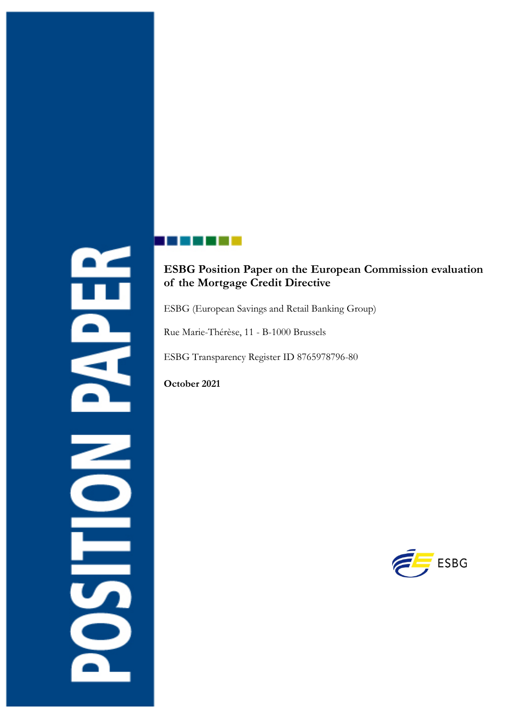# Ë **DERS**

# **ESBG Position Paper on the European Commission evaluation of the Mortgage Credit Directive**

ESBG (European Savings and Retail Banking Group)

Rue Marie-Thérèse, 11 - B-1000 Brussels

ESBG Transparency Register ID 8765978796-80

**October 2021**

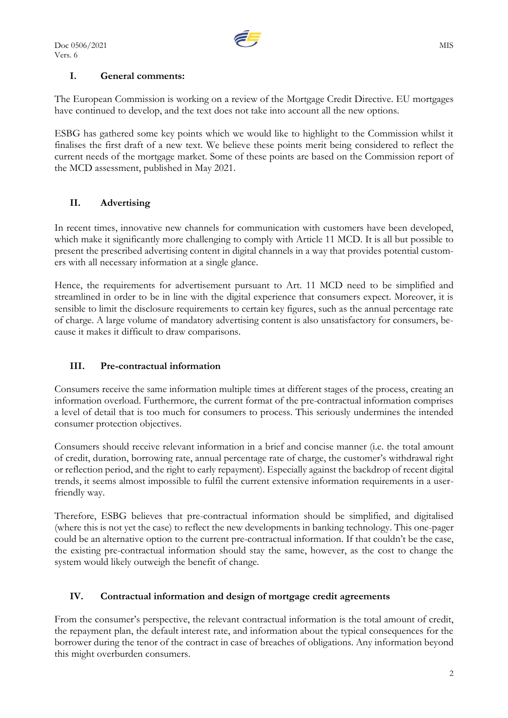

### **I. General comments:**

The European Commission is working on a review of the Mortgage Credit Directive. EU mortgages have continued to develop, and the text does not take into account all the new options.

ESBG has gathered some key points which we would like to highlight to the Commission whilst it finalises the first draft of a new text. We believe these points merit being considered to reflect the current needs of the mortgage market. Some of these points are based on the Commission report of the MCD assessment, published in May 2021.

### **II. Advertising**

In recent times, innovative new channels for communication with customers have been developed, which make it significantly more challenging to comply with Article 11 MCD. It is all but possible to present the prescribed advertising content in digital channels in a way that provides potential customers with all necessary information at a single glance.

Hence, the requirements for advertisement pursuant to Art. 11 MCD need to be simplified and streamlined in order to be in line with the digital experience that consumers expect. Moreover, it is sensible to limit the disclosure requirements to certain key figures, such as the annual percentage rate of charge. A large volume of mandatory advertising content is also unsatisfactory for consumers, because it makes it difficult to draw comparisons.

### **III. Pre-contractual information**

Consumers receive the same information multiple times at different stages of the process, creating an information overload. Furthermore, the current format of the pre-contractual information comprises a level of detail that is too much for consumers to process. This seriously undermines the intended consumer protection objectives.

Consumers should receive relevant information in a brief and concise manner (i.e. the total amount of credit, duration, borrowing rate, annual percentage rate of charge, the customer's withdrawal right or reflection period, and the right to early repayment). Especially against the backdrop of recent digital trends, it seems almost impossible to fulfil the current extensive information requirements in a userfriendly way.

Therefore, ESBG believes that pre-contractual information should be simplified, and digitalised (where this is not yet the case) to reflect the new developments in banking technology. This one-pager could be an alternative option to the current pre-contractual information. If that couldn't be the case, the existing pre-contractual information should stay the same, however, as the cost to change the system would likely outweigh the benefit of change.

### **IV. Contractual information and design of mortgage credit agreements**

From the consumer's perspective, the relevant contractual information is the total amount of credit, the repayment plan, the default interest rate, and information about the typical consequences for the borrower during the tenor of the contract in case of breaches of obligations. Any information beyond this might overburden consumers.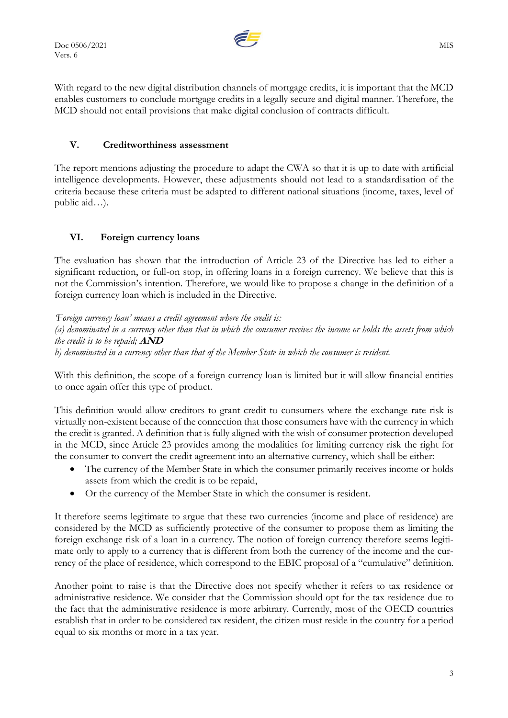

With regard to the new digital distribution channels of mortgage credits, it is important that the MCD enables customers to conclude mortgage credits in a legally secure and digital manner. Therefore, the MCD should not entail provisions that make digital conclusion of contracts difficult.

### **V. Creditworthiness assessment**

The report mentions adjusting the procedure to adapt the CWA so that it is up to date with artificial intelligence developments. However, these adjustments should not lead to a standardisation of the criteria because these criteria must be adapted to different national situations (income, taxes, level of public aid…).

### **VI. Foreign currency loans**

The evaluation has shown that the introduction of Article 23 of the Directive has led to either a significant reduction, or full-on stop, in offering loans in a foreign currency. We believe that this is not the Commission's intention. Therefore, we would like to propose a change in the definition of a foreign currency loan which is included in the Directive.

*'Foreign currency loan' means a credit agreement where the credit is: (a) denominated in a currency other than that in which the consumer receives the income or holds the assets from which the credit is to be repaid;* **AND** *b) denominated in a currency other than that of the Member State in which the consumer is resident.*

With this definition, the scope of a foreign currency loan is limited but it will allow financial entities to once again offer this type of product.

This definition would allow creditors to grant credit to consumers where the exchange rate risk is virtually non-existent because of the connection that those consumers have with the currency in which the credit is granted. A definition that is fully aligned with the wish of consumer protection developed in the MCD, since Article 23 provides among the modalities for limiting currency risk the right for the consumer to convert the credit agreement into an alternative currency, which shall be either:

- The currency of the Member State in which the consumer primarily receives income or holds assets from which the credit is to be repaid,
- Or the currency of the Member State in which the consumer is resident.

It therefore seems legitimate to argue that these two currencies (income and place of residence) are considered by the MCD as sufficiently protective of the consumer to propose them as limiting the foreign exchange risk of a loan in a currency. The notion of foreign currency therefore seems legitimate only to apply to a currency that is different from both the currency of the income and the currency of the place of residence, which correspond to the EBIC proposal of a "cumulative" definition.

Another point to raise is that the Directive does not specify whether it refers to tax residence or administrative residence. We consider that the Commission should opt for the tax residence due to the fact that the administrative residence is more arbitrary. Currently, most of the OECD countries establish that in order to be considered tax resident, the citizen must reside in the country for a period equal to six months or more in a tax year.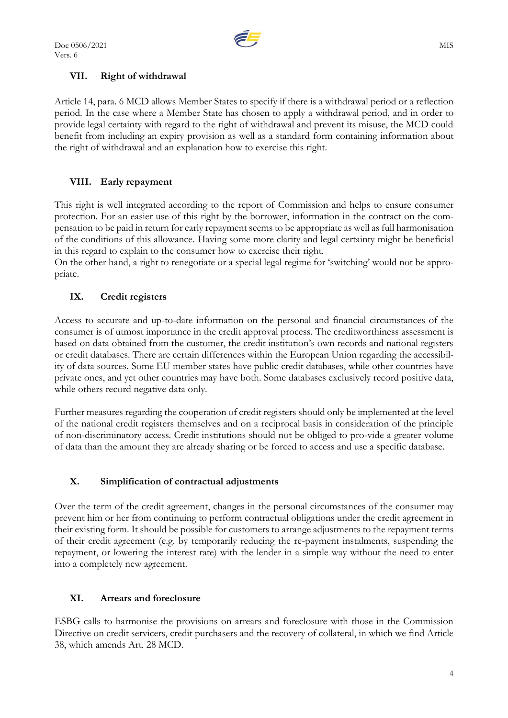

### **VII. Right of withdrawal**

Article 14, para. 6 MCD allows Member States to specify if there is a withdrawal period or a reflection period. In the case where a Member State has chosen to apply a withdrawal period, and in order to provide legal certainty with regard to the right of withdrawal and prevent its misuse, the MCD could benefit from including an expiry provision as well as a standard form containing information about the right of withdrawal and an explanation how to exercise this right.

## **VIII. Early repayment**

This right is well integrated according to the report of Commission and helps to ensure consumer protection. For an easier use of this right by the borrower, information in the contract on the compensation to be paid in return for early repayment seems to be appropriate as well as full harmonisation of the conditions of this allowance. Having some more clarity and legal certainty might be beneficial in this regard to explain to the consumer how to exercise their right.

On the other hand, a right to renegotiate or a special legal regime for 'switching' would not be appropriate.

### **IX. Credit registers**

Access to accurate and up-to-date information on the personal and financial circumstances of the consumer is of utmost importance in the credit approval process. The creditworthiness assessment is based on data obtained from the customer, the credit institution's own records and national registers or credit databases. There are certain differences within the European Union regarding the accessibility of data sources. Some EU member states have public credit databases, while other countries have private ones, and yet other countries may have both. Some databases exclusively record positive data, while others record negative data only.

Further measures regarding the cooperation of credit registers should only be implemented at the level of the national credit registers themselves and on a reciprocal basis in consideration of the principle of non-discriminatory access. Credit institutions should not be obliged to pro-vide a greater volume of data than the amount they are already sharing or be forced to access and use a specific database.

### **X. Simplification of contractual adjustments**

Over the term of the credit agreement, changes in the personal circumstances of the consumer may prevent him or her from continuing to perform contractual obligations under the credit agreement in their existing form. It should be possible for customers to arrange adjustments to the repayment terms of their credit agreement (e.g. by temporarily reducing the re-payment instalments, suspending the repayment, or lowering the interest rate) with the lender in a simple way without the need to enter into a completely new agreement.

### **XI. Arrears and foreclosure**

ESBG calls to harmonise the provisions on arrears and foreclosure with those in the Commission Directive on credit servicers, credit purchasers and the recovery of collateral, in which we find Article 38, which amends Art. 28 MCD.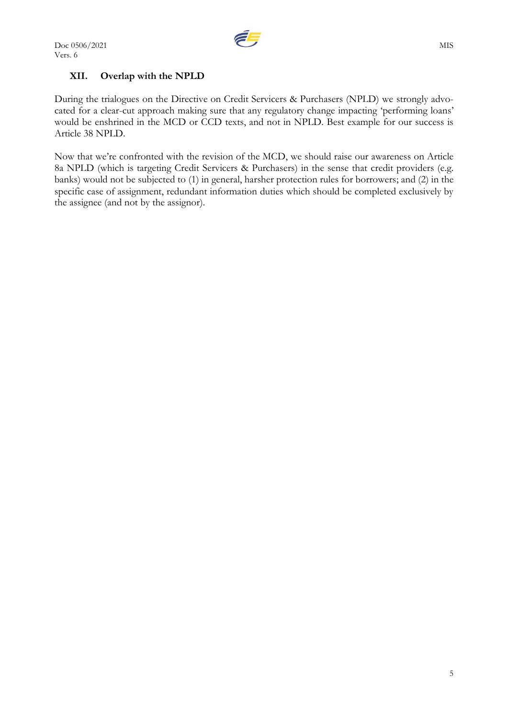

## **XII. Overlap with the NPLD**

During the trialogues on the Directive on Credit Servicers & Purchasers (NPLD) we strongly advocated for a clear-cut approach making sure that any regulatory change impacting 'performing loans' would be enshrined in the MCD or CCD texts, and not in NPLD. Best example for our success is Article 38 NPLD.

Now that we're confronted with the revision of the MCD, we should raise our awareness on Article 8a NPLD (which is targeting Credit Servicers & Purchasers) in the sense that credit providers (e.g. banks) would not be subjected to (1) in general, harsher protection rules for borrowers; and (2) in the specific case of assignment, redundant information duties which should be completed exclusively by the assignee (and not by the assignor).